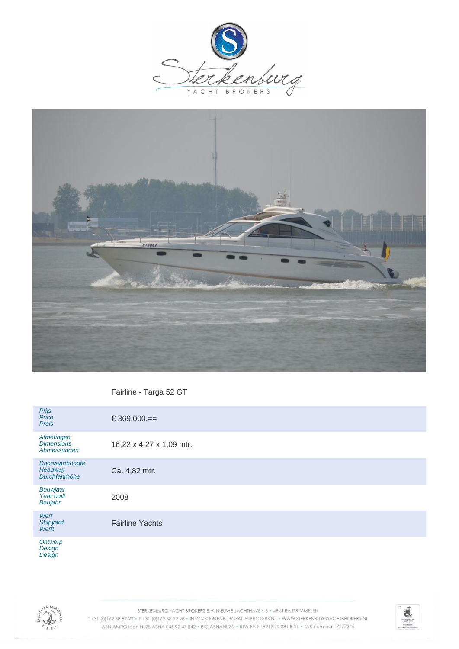



Fairline - Targa 52 GT

| Prijs<br>Price<br>Preis                        | $\epsilon$ 369.000,==    |
|------------------------------------------------|--------------------------|
| Afmetingen<br><b>Dimensions</b><br>Abmessungen | 16,22 x 4,27 x 1,09 mtr. |
| Doorvaarthoogte<br>Headway<br>Durchfahrhöhe    | Ca. 4,82 mtr.            |
| Bouwjaar<br>Year built<br>Baujahr              | 2008                     |
| Werf<br>Shipyard<br>Werft                      | <b>Fairline Yachts</b>   |
| Ontwerp                                        |                          |

**Design Design** 



STERKENBURG YACHT BROKERS B.V. NIEUWE JACHTHAVEN 6 · 4924 BA DRIMMELEN T +31 (0) 162 68 57 22 · F +31 (0) 162 68 22 98 · INFO@STERKENBURGYACHTBROKERS.NL · WWW.STERKENBURGYACHTBROKERS.NL ABN AMRO Iban NL98 ABNA 045 92 47 042 . BIC ABNANL2A . BTW-Nr. NL8219.72.881.B.01 . KvK-nummer 17277345

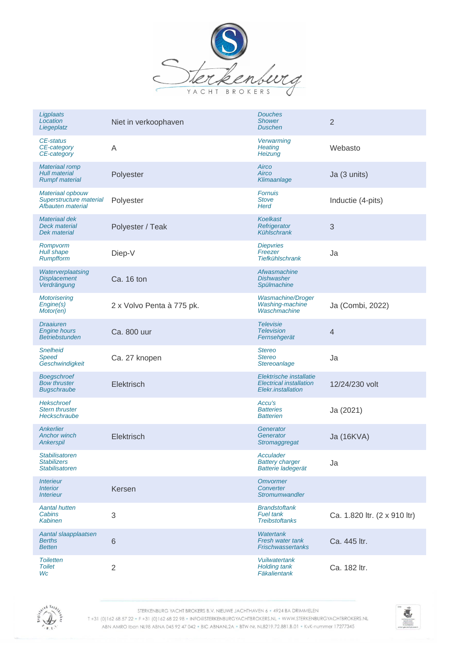

| Ligplaats<br>Location<br>Liegeplatz                                    | Niet in verkoophaven      | <b>Douches</b><br><b>Shower</b><br><b>Duschen</b>                               | $\overline{2}$               |
|------------------------------------------------------------------------|---------------------------|---------------------------------------------------------------------------------|------------------------------|
| CE-status<br>CE-category<br>CE-category                                | A                         | Verwarming<br><b>Heating</b><br>Heizung                                         | Webasto                      |
| <b>Materiaal romp</b><br><b>Hull material</b><br><b>Rumpf material</b> | Polyester                 | Airco<br>Airco<br>Klimaanlage                                                   | Ja (3 units)                 |
| Materiaal opbouw<br>Superstructure material<br>Afbauten material       | Polyester                 | <b>Fornuis</b><br><b>Stove</b><br><b>Herd</b>                                   | Inductie (4-pits)            |
| Materiaal dek<br><b>Deck material</b><br>Dek material                  | Polyester / Teak          | <b>Koelkast</b><br>Refrigerator<br><b>Kühlschrank</b>                           | 3                            |
| Rompvorm<br><b>Hull shape</b><br>Rumpfform                             | Diep-V                    | <b>Diepvries</b><br>Freezer<br><b>Tiefkühlschrank</b>                           | Ja                           |
| Waterverplaatsing<br><b>Displacement</b><br>Verdrängung                | Ca. 16 ton                | Afwasmachine<br><b>Dishwasher</b><br>Spülmachine                                |                              |
| <b>Motorisering</b><br>Engine(s)<br>Motor(en)                          | 2 x Volvo Penta à 775 pk. | Wasmachine/Droger<br>Washing-machine<br>Waschmachine                            | Ja (Combi, 2022)             |
| <b>Draaiuren</b><br><b>Engine hours</b><br><b>Betriebstunden</b>       | Ca. 800 uur               | <b>Televisie</b><br><b>Television</b><br>Fernsehgerät                           | 4                            |
| <b>Snelheid</b><br>Speed<br>Geschwindigkeit                            | Ca. 27 knopen             | <b>Stereo</b><br><b>Stereo</b><br>Stereoanlage                                  | Ja                           |
| <b>Boegschroef</b><br><b>Bow thruster</b><br><b>Bugschraube</b>        | Elektrisch                | Elektrische installatie<br><b>Electrical installation</b><br>Elekr.installation | 12/24/230 volt               |
| <b>Hekschroef</b><br><b>Stern thruster</b><br>Heckschraube             |                           | Accu's<br><b>Batteries</b><br><b>Batterien</b>                                  | Ja (2021)                    |
| Ankerlier<br><b>Anchor winch</b><br>Ankerspil                          | Elektrisch                | Generator<br>Generator<br>Stromaggregat                                         | Ja (16KVA)                   |
| <b>Stabilisatoren</b><br><b>Stabilizers</b><br><b>Stabilisatoren</b>   |                           | Acculader<br><b>Battery charger</b><br>Batterie ladegerät                       | Ja                           |
| <i><b>Interieur</b></i><br><b>Interior</b><br><b>Interieur</b>         | Kersen                    | <b>Omvormer</b><br>Converter<br>Stromumwandler                                  |                              |
| <b>Aantal hutten</b><br>Cabins<br><b>Kabinen</b>                       | 3                         | <b>Brandstoftank</b><br><b>Fuel tank</b><br><b>Treibstoftanks</b>               | Ca. 1.820 ltr. (2 x 910 ltr) |
| Aantal slaapplaatsen<br><b>Berths</b><br><b>Betten</b>                 | $6\phantom{1}$            | <b>Watertank</b><br>Fresh water tank<br><b>Frischwassertanks</b>                | Ca. 445 ltr.                 |
| <b>Toiletten</b><br><b>Toilet</b><br>Wc                                | $\overline{2}$            | <b>Vuilwatertank</b><br><b>Holding tank</b><br>Fäkalientank                     | Ca. 182 ltr.                 |



STERKENBURG YACHT BROKERS B.V. NIEUWE JACHTHAVEN 6 · 4924 BA DRIMMELEN

T+31 (0)162 68 57 22 · F+31 (0)162 68 22 98 · INFO@STERKENBURGYACHTBROKERS.NL · WWW.STERKENBURGYACHTBROKERS.NL ABN AMRO Iban NL98 ABNA 045 92 47 042 . BIC ABNANL2A . BTW-Nr. NL8219.72.881.B.01 . KvK-nummer 17277345